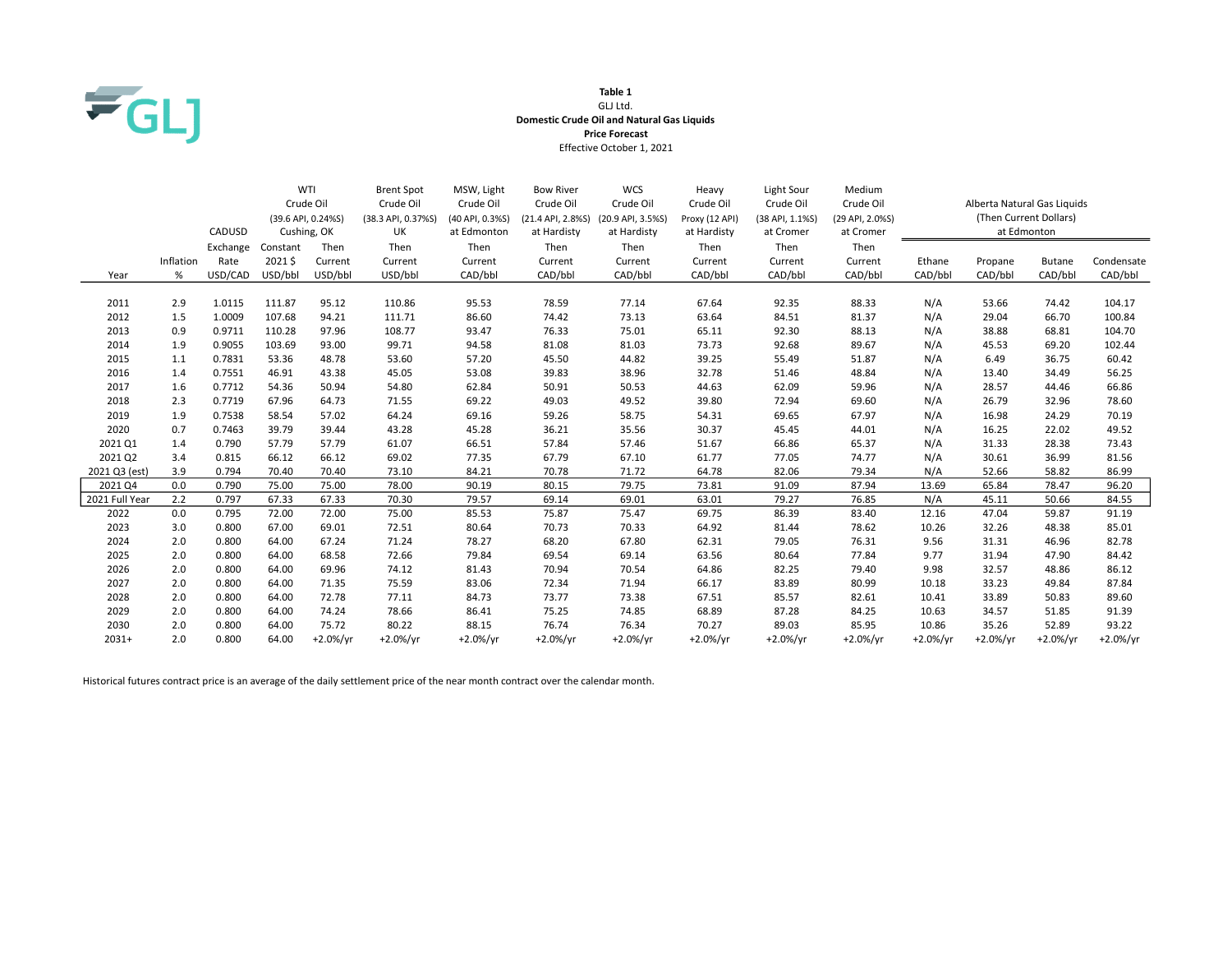

### Table 1 GLJ Ltd. Domestic Crude Oil and Natural Gas Liquids Price Forecast Effective October 1, 2021

|                |           |          |          | WTI                | <b>Brent Spot</b>  | MSW, Light      | <b>Bow River</b>  | <b>WCS</b>        | Heavy          | Light Sour      | Medium          | Alberta Natural Gas Liquids |                        |               |            |
|----------------|-----------|----------|----------|--------------------|--------------------|-----------------|-------------------|-------------------|----------------|-----------------|-----------------|-----------------------------|------------------------|---------------|------------|
|                |           |          |          | Crude Oil          | Crude Oil          | Crude Oil       | Crude Oil         | Crude Oil         | Crude Oil      | Crude Oil       | Crude Oil       |                             |                        |               |            |
|                |           |          |          | (39.6 API, 0.24%S) | (38.3 API, 0.37%S) | (40 API, 0.3%S) | (21.4 API, 2.8%S) | (20.9 API, 3.5%S) | Proxy (12 API) | (38 API, 1.1%S) | (29 API, 2.0%S) |                             | (Then Current Dollars) |               |            |
|                |           | CADUSD   |          | Cushing, OK        | UK                 | at Edmonton     | at Hardisty       | at Hardisty       | at Hardisty    | at Cromer       | at Cromer       |                             | at Edmonton            |               |            |
|                |           | Exchange | Constant | Then               | Then               | Then            | Then              | Then              | Then           | Then            | Then            |                             |                        |               |            |
|                | Inflation | Rate     | 2021\$   | Current            | Current            | Current         | Current           | Current           | Current        | Current         | Current         | Ethane                      | Propane                | <b>Butane</b> | Condensate |
| Year           | %         | USD/CAD  | USD/bbl  | USD/bbl            | USD/bbl            | CAD/bbl         | CAD/bbl           | CAD/bbl           | CAD/bbl        | CAD/bbl         | CAD/bbl         | CAD/bbl                     | CAD/bbl                | CAD/bbl       | CAD/bbl    |
|                |           |          |          |                    |                    |                 |                   |                   |                |                 |                 |                             |                        |               |            |
| 2011           | 2.9       | 1.0115   | 111.87   | 95.12              | 110.86             | 95.53           | 78.59             | 77.14             | 67.64          | 92.35           | 88.33           | N/A                         | 53.66                  | 74.42         | 104.17     |
| 2012           | 1.5       | 1.0009   | 107.68   | 94.21              | 111.71             | 86.60           | 74.42             | 73.13             | 63.64          | 84.51           | 81.37           | N/A                         | 29.04                  | 66.70         | 100.84     |
| 2013           | 0.9       | 0.9711   | 110.28   | 97.96              | 108.77             | 93.47           | 76.33             | 75.01             | 65.11          | 92.30           | 88.13           | N/A                         | 38.88                  | 68.81         | 104.70     |
| 2014           | 1.9       | 0.9055   | 103.69   | 93.00              | 99.71              | 94.58           | 81.08             | 81.03             | 73.73          | 92.68           | 89.67           | N/A                         | 45.53                  | 69.20         | 102.44     |
| 2015           | 1.1       | 0.7831   | 53.36    | 48.78              | 53.60              | 57.20           | 45.50             | 44.82             | 39.25          | 55.49           | 51.87           | N/A                         | 6.49                   | 36.75         | 60.42      |
| 2016           | 1.4       | 0.7551   | 46.91    | 43.38              | 45.05              | 53.08           | 39.83             | 38.96             | 32.78          | 51.46           | 48.84           | N/A                         | 13.40                  | 34.49         | 56.25      |
| 2017           | 1.6       | 0.7712   | 54.36    | 50.94              | 54.80              | 62.84           | 50.91             | 50.53             | 44.63          | 62.09           | 59.96           | N/A                         | 28.57                  | 44.46         | 66.86      |
| 2018           | 2.3       | 0.7719   | 67.96    | 64.73              | 71.55              | 69.22           | 49.03             | 49.52             | 39.80          | 72.94           | 69.60           | N/A                         | 26.79                  | 32.96         | 78.60      |
| 2019           | 1.9       | 0.7538   | 58.54    | 57.02              | 64.24              | 69.16           | 59.26             | 58.75             | 54.31          | 69.65           | 67.97           | N/A                         | 16.98                  | 24.29         | 70.19      |
| 2020           | 0.7       | 0.7463   | 39.79    | 39.44              | 43.28              | 45.28           | 36.21             | 35.56             | 30.37          | 45.45           | 44.01           | N/A                         | 16.25                  | 22.02         | 49.52      |
| 2021 Q1        | 1.4       | 0.790    | 57.79    | 57.79              | 61.07              | 66.51           | 57.84             | 57.46             | 51.67          | 66.86           | 65.37           | N/A                         | 31.33                  | 28.38         | 73.43      |
| 2021 Q2        | 3.4       | 0.815    | 66.12    | 66.12              | 69.02              | 77.35           | 67.79             | 67.10             | 61.77          | 77.05           | 74.77           | N/A                         | 30.61                  | 36.99         | 81.56      |
| 2021 Q3 (est)  | 3.9       | 0.794    | 70.40    | 70.40              | 73.10              | 84.21           | 70.78             | 71.72             | 64.78          | 82.06           | 79.34           | N/A                         | 52.66                  | 58.82         | 86.99      |
| 2021 Q4        | 0.0       | 0.790    | 75.00    | 75.00              | 78.00              | 90.19           | 80.15             | 79.75             | 73.81          | 91.09           | 87.94           | 13.69                       | 65.84                  | 78.47         | 96.20      |
| 2021 Full Year | 2.2       | 0.797    | 67.33    | 67.33              | 70.30              | 79.57           | 69.14             | 69.01             | 63.01          | 79.27           | 76.85           | N/A                         | 45.11                  | 50.66         | 84.55      |
| 2022           | 0.0       | 0.795    | 72.00    | 72.00              | 75.00              | 85.53           | 75.87             | 75.47             | 69.75          | 86.39           | 83.40           | 12.16                       | 47.04                  | 59.87         | 91.19      |
| 2023           | 3.0       | 0.800    | 67.00    | 69.01              | 72.51              | 80.64           | 70.73             | 70.33             | 64.92          | 81.44           | 78.62           | 10.26                       | 32.26                  | 48.38         | 85.01      |
| 2024           | 2.0       | 0.800    | 64.00    | 67.24              | 71.24              | 78.27           | 68.20             | 67.80             | 62.31          | 79.05           | 76.31           | 9.56                        | 31.31                  | 46.96         | 82.78      |
| 2025           | 2.0       | 0.800    | 64.00    | 68.58              | 72.66              | 79.84           | 69.54             | 69.14             | 63.56          | 80.64           | 77.84           | 9.77                        | 31.94                  | 47.90         | 84.42      |
| 2026           | 2.0       | 0.800    | 64.00    | 69.96              | 74.12              | 81.43           | 70.94             | 70.54             | 64.86          | 82.25           | 79.40           | 9.98                        | 32.57                  | 48.86         | 86.12      |
| 2027           | 2.0       | 0.800    | 64.00    | 71.35              | 75.59              | 83.06           | 72.34             | 71.94             | 66.17          | 83.89           | 80.99           | 10.18                       | 33.23                  | 49.84         | 87.84      |
| 2028           | 2.0       | 0.800    | 64.00    | 72.78              | 77.11              | 84.73           | 73.77             | 73.38             | 67.51          | 85.57           | 82.61           | 10.41                       | 33.89                  | 50.83         | 89.60      |
| 2029           | 2.0       | 0.800    | 64.00    | 74.24              | 78.66              | 86.41           | 75.25             | 74.85             | 68.89          | 87.28           | 84.25           | 10.63                       | 34.57                  | 51.85         | 91.39      |
| 2030           | 2.0       | 0.800    | 64.00    | 75.72              | 80.22              | 88.15           | 76.74             | 76.34             | 70.27          | 89.03           | 85.95           | 10.86                       | 35.26                  | 52.89         | 93.22      |
| $2031+$        | 2.0       | 0.800    | 64.00    | $+2.0%/yr$         | +2.0%/yr           | $+2.0%/yr$      | $+2.0%/yr$        | $+2.0%/yr$        | $+2.0%/vr$     | $+2.0\%/yr$     | $+2.0%/yr$      | $+2.0%/vr$                  | $+2.0%/yr$             | $+2.0%/vr$    | $+2.0%/yr$ |

Historical futures contract price is an average of the daily settlement price of the near month contract over the calendar month.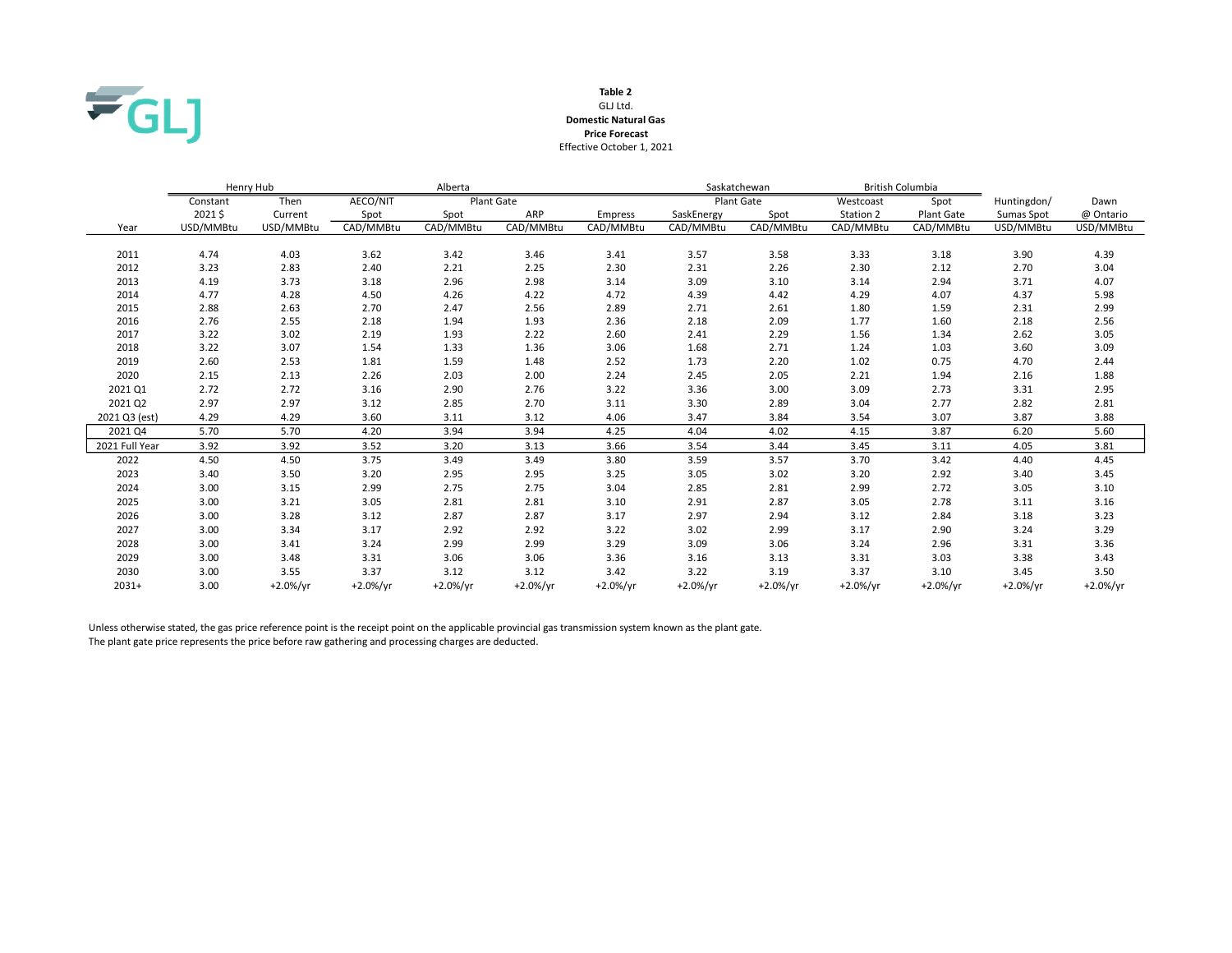

### GLJ Ltd. Table 2 Domestic Natural Gas Effective October 1, 2021 Price Forecast

|                |           | Henry Hub   |            | Alberta     |            |             |            | Saskatchewan      | <b>British Columbia</b> |                   |             |             |
|----------------|-----------|-------------|------------|-------------|------------|-------------|------------|-------------------|-------------------------|-------------------|-------------|-------------|
|                | Constant  | Then        | AECO/NIT   |             | Plant Gate |             |            | <b>Plant Gate</b> | Westcoast               | Spot              | Huntingdon/ | Dawn        |
|                | 2021\$    | Current     | Spot       | Spot        | ARP        | Empress     | SaskEnergy | Spot              | Station 2               | <b>Plant Gate</b> | Sumas Spot  | @ Ontario   |
| Year           | USD/MMBtu | USD/MMBtu   | CAD/MMBtu  | CAD/MMBtu   | CAD/MMBtu  | CAD/MMBtu   | CAD/MMBtu  | CAD/MMBtu         | CAD/MMBtu               | CAD/MMBtu         | USD/MMBtu   | USD/MMBtu   |
|                |           |             |            |             |            |             |            |                   |                         |                   |             |             |
| 2011           | 4.74      | 4.03        | 3.62       | 3.42        | 3.46       | 3.41        | 3.57       | 3.58              | 3.33                    | 3.18              | 3.90        | 4.39        |
| 2012           | 3.23      | 2.83        | 2.40       | 2.21        | 2.25       | 2.30        | 2.31       | 2.26              | 2.30                    | 2.12              | 2.70        | 3.04        |
| 2013           | 4.19      | 3.73        | 3.18       | 2.96        | 2.98       | 3.14        | 3.09       | 3.10              | 3.14                    | 2.94              | 3.71        | 4.07        |
| 2014           | 4.77      | 4.28        | 4.50       | 4.26        | 4.22       | 4.72        | 4.39       | 4.42              | 4.29                    | 4.07              | 4.37        | 5.98        |
| 2015           | 2.88      | 2.63        | 2.70       | 2.47        | 2.56       | 2.89        | 2.71       | 2.61              | 1.80                    | 1.59              | 2.31        | 2.99        |
| 2016           | 2.76      | 2.55        | 2.18       | 1.94        | 1.93       | 2.36        | 2.18       | 2.09              | 1.77                    | 1.60              | 2.18        | 2.56        |
| 2017           | 3.22      | 3.02        | 2.19       | 1.93        | 2.22       | 2.60        | 2.41       | 2.29              | 1.56                    | 1.34              | 2.62        | 3.05        |
| 2018           | 3.22      | 3.07        | 1.54       | 1.33        | 1.36       | 3.06        | 1.68       | 2.71              | 1.24                    | 1.03              | 3.60        | 3.09        |
| 2019           | 2.60      | 2.53        | 1.81       | 1.59        | 1.48       | 2.52        | 1.73       | 2.20              | 1.02                    | 0.75              | 4.70        | 2.44        |
| 2020           | 2.15      | 2.13        | 2.26       | 2.03        | 2.00       | 2.24        | 2.45       | 2.05              | 2.21                    | 1.94              | 2.16        | 1.88        |
| 2021 Q1        | 2.72      | 2.72        | 3.16       | 2.90        | 2.76       | 3.22        | 3.36       | 3.00              | 3.09                    | 2.73              | 3.31        | 2.95        |
| 2021 Q2        | 2.97      | 2.97        | 3.12       | 2.85        | 2.70       | 3.11        | 3.30       | 2.89              | 3.04                    | 2.77              | 2.82        | 2.81        |
| 2021 Q3 (est)  | 4.29      | 4.29        | 3.60       | 3.11        | 3.12       | 4.06        | 3.47       | 3.84              | 3.54                    | 3.07              | 3.87        | 3.88        |
| 2021 Q4        | 5.70      | 5.70        | 4.20       | 3.94        | 3.94       | 4.25        | 4.04       | 4.02              | 4.15                    | 3.87              | 6.20        | 5.60        |
| 2021 Full Year | 3.92      | 3.92        | 3.52       | 3.20        | 3.13       | 3.66        | 3.54       | 3.44              | 3.45                    | 3.11              | 4.05        | 3.81        |
| 2022           | 4.50      | 4.50        | 3.75       | 3.49        | 3.49       | 3.80        | 3.59       | 3.57              | 3.70                    | 3.42              | 4.40        | 4.45        |
| 2023           | 3.40      | 3.50        | 3.20       | 2.95        | 2.95       | 3.25        | 3.05       | 3.02              | 3.20                    | 2.92              | 3.40        | 3.45        |
| 2024           | 3.00      | 3.15        | 2.99       | 2.75        | 2.75       | 3.04        | 2.85       | 2.81              | 2.99                    | 2.72              | 3.05        | 3.10        |
| 2025           | 3.00      | 3.21        | 3.05       | 2.81        | 2.81       | 3.10        | 2.91       | 2.87              | 3.05                    | 2.78              | 3.11        | 3.16        |
| 2026           | 3.00      | 3.28        | 3.12       | 2.87        | 2.87       | 3.17        | 2.97       | 2.94              | 3.12                    | 2.84              | 3.18        | 3.23        |
| 2027           | 3.00      | 3.34        | 3.17       | 2.92        | 2.92       | 3.22        | 3.02       | 2.99              | 3.17                    | 2.90              | 3.24        | 3.29        |
| 2028           | 3.00      | 3.41        | 3.24       | 2.99        | 2.99       | 3.29        | 3.09       | 3.06              | 3.24                    | 2.96              | 3.31        | 3.36        |
| 2029           | 3.00      | 3.48        | 3.31       | 3.06        | 3.06       | 3.36        | 3.16       | 3.13              | 3.31                    | 3.03              | 3.38        | 3.43        |
| 2030           | 3.00      | 3.55        | 3.37       | 3.12        | 3.12       | 3.42        | 3.22       | 3.19              | 3.37                    | 3.10              | 3.45        | 3.50        |
| $2031+$        | 3.00      | $+2.0\%/yr$ | $+2.0%/yr$ | $+2.0\%/yr$ | $+2.0%/yr$ | $+2.0\%/yr$ | $+2.0%/yr$ | $+2.0\%/yr$       | $+2.0%/yr$              | $+2.0%/yr$        | $+2.0\%/yr$ | $+2.0\%/yr$ |

Unless otherwise stated, the gas price reference point is the receipt point on the applicable provincial gas transmission system known as the plant gate. The plant gate price represents the price before raw gathering and processing charges are deducted.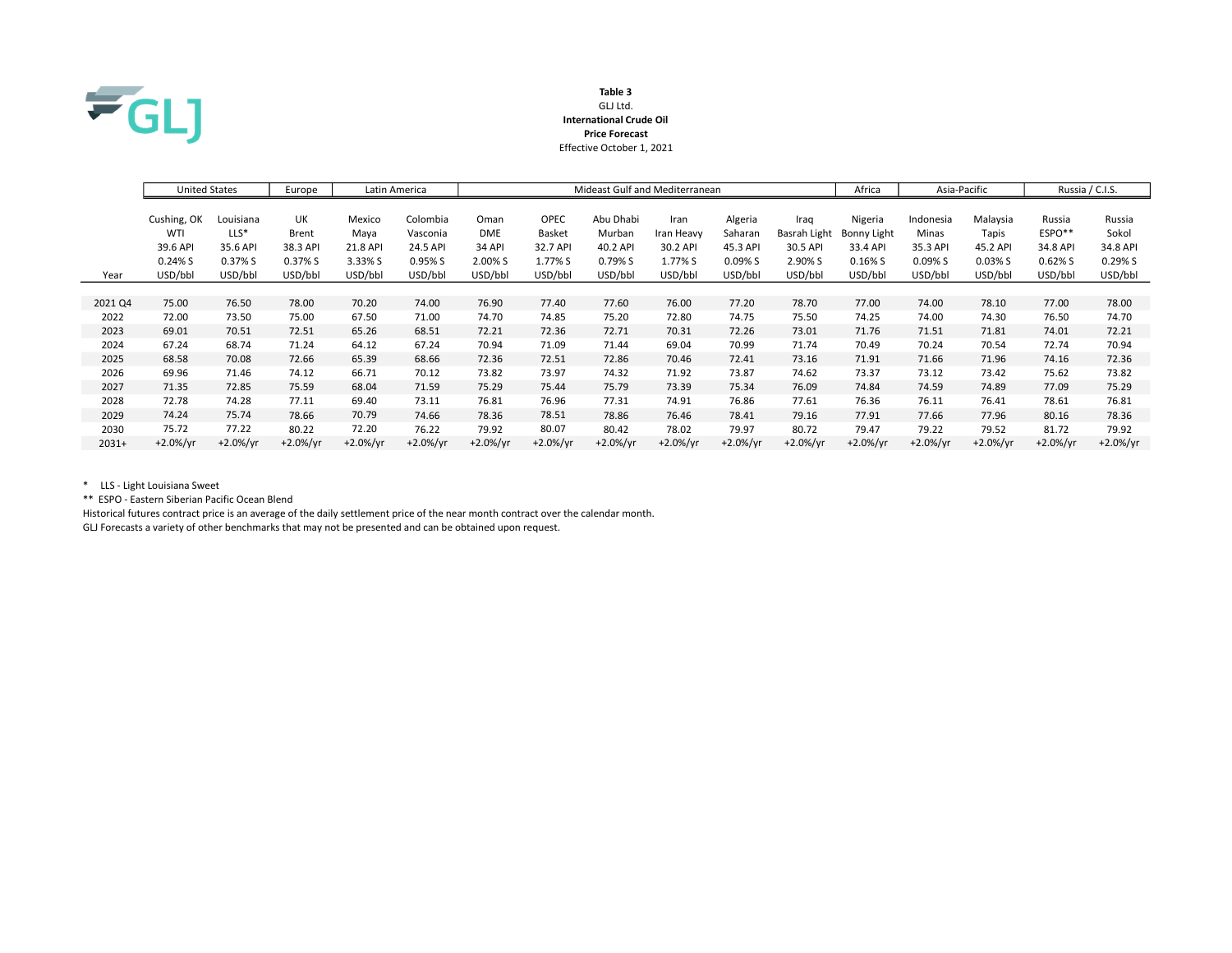

### Table 3 GLJ Ltd. International Crude Oil Price Forecast Effective October 1, 2021

|         | <b>United States</b> |            | Europe     |            | Latin America | Mideast Gulf and Mediterranean |             |            |            |            |              | Africa      | Asia-Pacific |            | Russia / C.I.S. |             |
|---------|----------------------|------------|------------|------------|---------------|--------------------------------|-------------|------------|------------|------------|--------------|-------------|--------------|------------|-----------------|-------------|
|         | Cushing, OK          | Louisiana  | UK         | Mexico     | Colombia      | Oman                           | <b>OPEC</b> | Abu Dhabi  | Iran       | Algeria    | Iraq         | Nigeria     | Indonesia    | Malaysia   | Russia          | Russia      |
|         | WTI                  | $LLS^*$    |            |            |               | <b>DME</b>                     |             |            |            |            |              |             |              |            | $ESPO**$        |             |
|         |                      |            | Brent      | Maya       | Vasconia      |                                | Basket      | Murban     | Iran Heavy | Saharan    | Basrah Light | Bonny Light | Minas        | Tapis      |                 | Sokol       |
|         | 39.6 API             | 35.6 API   | 38.3 API   | 21.8 API   | 24.5 API      | <b>34 API</b>                  | 32.7 API    | 40.2 API   | 30.2 API   | 45.3 API   | 30.5 API     | 33.4 API    | 35.3 API     | 45.2 API   | 34.8 API        | 34.8 API    |
|         | 0.24% S              | 0.37% S    | 0.37% S    | 3.33% S    | 0.95% S       | 2.00% S                        | 1.77% S     | 0.79% S    | 1.77% S    | 0.09% S    | 2.90% S      | $0.16\%$ S  | 0.09% S      | $0.03\%$ S | 0.62%S          | 0.29%S      |
| Year    | USD/bbl              | USD/bbl    | USD/bbl    | USD/bbl    | USD/bbl       | USD/bbl                        | USD/bbl     | USD/bbl    | USD/bbl    | USD/bbl    | USD/bbl      | USD/bbl     | USD/bbl      | USD/bbl    | USD/bbl         | USD/bbl     |
|         |                      |            |            |            |               |                                |             |            |            |            |              |             |              |            |                 |             |
| 2021 Q4 | 75.00                | 76.50      | 78.00      | 70.20      | 74.00         | 76.90                          | 77.40       | 77.60      | 76.00      | 77.20      | 78.70        | 77.00       | 74.00        | 78.10      | 77.00           | 78.00       |
| 2022    | 72.00                | 73.50      | 75.00      | 67.50      | 71.00         | 74.70                          | 74.85       | 75.20      | 72.80      | 74.75      | 75.50        | 74.25       | 74.00        | 74.30      | 76.50           | 74.70       |
| 2023    | 69.01                | 70.51      | 72.51      | 65.26      | 68.51         | 72.21                          | 72.36       | 72.71      | 70.31      | 72.26      | 73.01        | 71.76       | 71.51        | 71.81      | 74.01           | 72.21       |
| 2024    | 67.24                | 68.74      | 71.24      | 64.12      | 67.24         | 70.94                          | 71.09       | 71.44      | 69.04      | 70.99      | 71.74        | 70.49       | 70.24        | 70.54      | 72.74           | 70.94       |
| 2025    | 68.58                | 70.08      | 72.66      | 65.39      | 68.66         | 72.36                          | 72.51       | 72.86      | 70.46      | 72.41      | 73.16        | 71.91       | 71.66        | 71.96      | 74.16           | 72.36       |
| 2026    | 69.96                | 71.46      | 74.12      | 66.71      | 70.12         | 73.82                          | 73.97       | 74.32      | 71.92      | 73.87      | 74.62        | 73.37       | 73.12        | 73.42      | 75.62           | 73.82       |
| 2027    | 71.35                | 72.85      | 75.59      | 68.04      | 71.59         | 75.29                          | 75.44       | 75.79      | 73.39      | 75.34      | 76.09        | 74.84       | 74.59        | 74.89      | 77.09           | 75.29       |
| 2028    | 72.78                | 74.28      | 77.11      | 69.40      | 73.11         | 76.81                          | 76.96       | 77.31      | 74.91      | 76.86      | 77.61        | 76.36       | 76.11        | 76.41      | 78.61           | 76.81       |
| 2029    | 74.24                | 75.74      | 78.66      | 70.79      | 74.66         | 78.36                          | 78.51       | 78.86      | 76.46      | 78.41      | 79.16        | 77.91       | 77.66        | 77.96      | 80.16           | 78.36       |
| 2030    | 75.72                | 77.22      | 80.22      | 72.20      | 76.22         | 79.92                          | 80.07       | 80.42      | 78.02      | 79.97      | 80.72        | 79.47       | 79.22        | 79.52      | 81.72           | 79.92       |
| $2031+$ | $+2.0\%/yr$          | $+2.0%/yr$ | $+2.0%/yr$ | $+2.0%/yr$ | $+2.0%/vr$    | $+2.0%/yr$                     | $+2.0%/vr$  | $+2.0%/yr$ | $+2.0%/yr$ | $+2.0%/yr$ | $+2.0%/yr$   | $+2.0\%/yr$ | $+2.0%/yr$   | $+2.0%/yr$ | $+2.0\%/yr$     | $+2.0\%/yr$ |

\* LLS - Light Louisiana Sweet

\*\* ESPO - Eastern Siberian Pacific Ocean Blend

Historical futures contract price is an average of the daily settlement price of the near month contract over the calendar month. GLJ Forecasts a variety of other benchmarks that may not be presented and can be obtained upon request.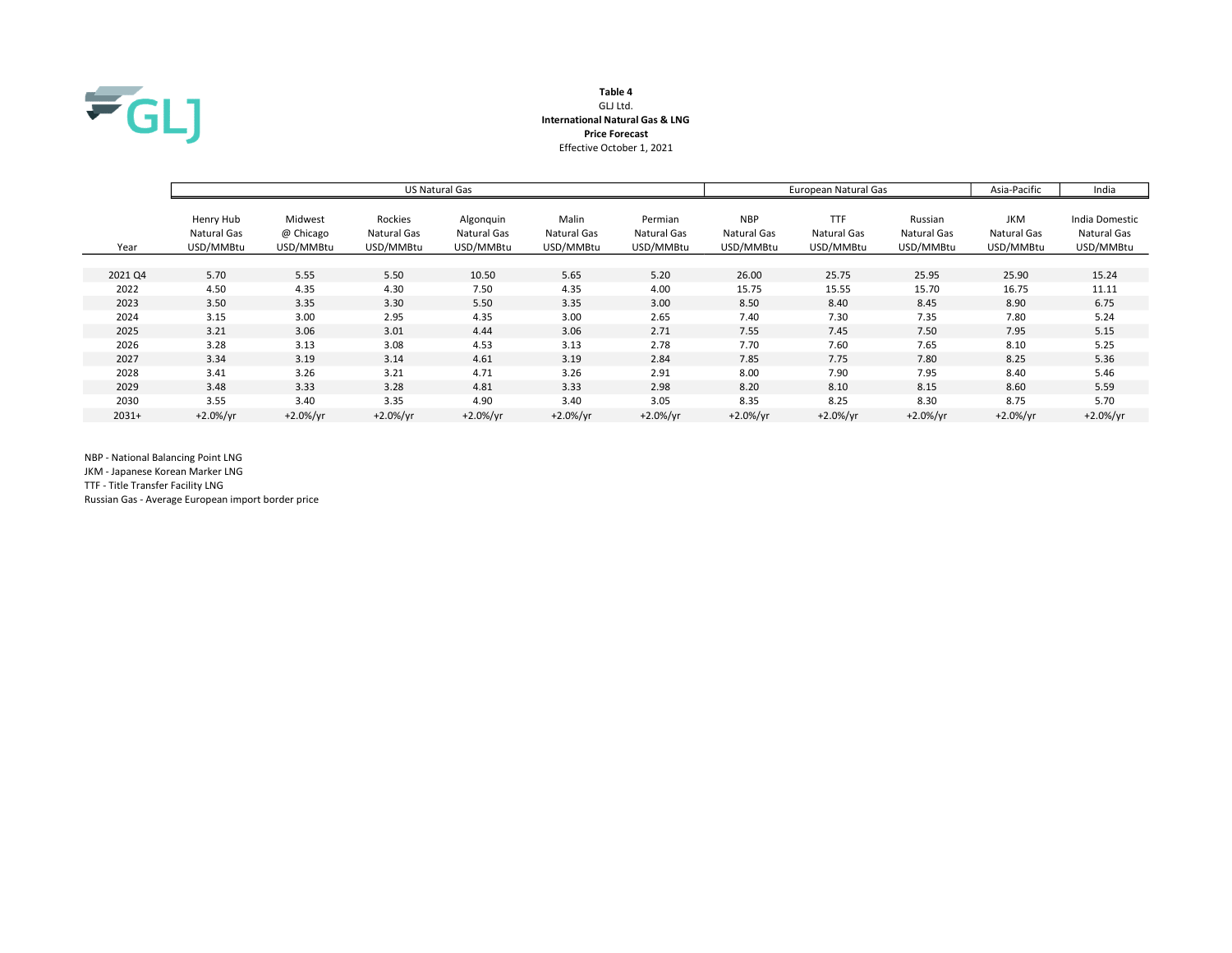

# Table 4 GLJ Ltd. International Natural Gas & LNG Price Forecast Effective October 1, 2021

|         |                                       |                                   |                                     | US Natural Gas                        |                                   | European Natural Gas                |                                        | Asia-Pacific                           | India                               |                                        |                                            |
|---------|---------------------------------------|-----------------------------------|-------------------------------------|---------------------------------------|-----------------------------------|-------------------------------------|----------------------------------------|----------------------------------------|-------------------------------------|----------------------------------------|--------------------------------------------|
| Year    | Henry Hub<br>Natural Gas<br>USD/MMBtu | Midwest<br>@ Chicago<br>USD/MMBtu | Rockies<br>Natural Gas<br>USD/MMBtu | Algonquin<br>Natural Gas<br>USD/MMBtu | Malin<br>Natural Gas<br>USD/MMBtu | Permian<br>Natural Gas<br>USD/MMBtu | <b>NBP</b><br>Natural Gas<br>USD/MMBtu | <b>TTF</b><br>Natural Gas<br>USD/MMBtu | Russian<br>Natural Gas<br>USD/MMBtu | <b>JKM</b><br>Natural Gas<br>USD/MMBtu | India Domestic<br>Natural Gas<br>USD/MMBtu |
|         |                                       |                                   |                                     |                                       |                                   |                                     |                                        |                                        |                                     |                                        |                                            |
| 2021 Q4 | 5.70                                  | 5.55                              | 5.50                                | 10.50                                 | 5.65                              | 5.20                                | 26.00                                  | 25.75                                  | 25.95                               | 25.90                                  | 15.24                                      |
| 2022    | 4.50                                  | 4.35                              | 4.30                                | 7.50                                  | 4.35                              | 4.00                                | 15.75                                  | 15.55                                  | 15.70                               | 16.75                                  | 11.11                                      |
| 2023    | 3.50                                  | 3.35                              | 3.30                                | 5.50                                  | 3.35                              | 3.00                                | 8.50                                   | 8.40                                   | 8.45                                | 8.90                                   | 6.75                                       |
| 2024    | 3.15                                  | 3.00                              | 2.95                                | 4.35                                  | 3.00                              | 2.65                                | 7.40                                   | 7.30                                   | 7.35                                | 7.80                                   | 5.24                                       |
| 2025    | 3.21                                  | 3.06                              | 3.01                                | 4.44                                  | 3.06                              | 2.71                                | 7.55                                   | 7.45                                   | 7.50                                | 7.95                                   | 5.15                                       |
| 2026    | 3.28                                  | 3.13                              | 3.08                                | 4.53                                  | 3.13                              | 2.78                                | 7.70                                   | 7.60                                   | 7.65                                | 8.10                                   | 5.25                                       |
| 2027    | 3.34                                  | 3.19                              | 3.14                                | 4.61                                  | 3.19                              | 2.84                                | 7.85                                   | 7.75                                   | 7.80                                | 8.25                                   | 5.36                                       |
| 2028    | 3.41                                  | 3.26                              | 3.21                                | 4.71                                  | 3.26                              | 2.91                                | 8.00                                   | 7.90                                   | 7.95                                | 8.40                                   | 5.46                                       |
| 2029    | 3.48                                  | 3.33                              | 3.28                                | 4.81                                  | 3.33                              | 2.98                                | 8.20                                   | 8.10                                   | 8.15                                | 8.60                                   | 5.59                                       |
| 2030    | 3.55                                  | 3.40                              | 3.35                                | 4.90                                  | 3.40                              | 3.05                                | 8.35                                   | 8.25                                   | 8.30                                | 8.75                                   | 5.70                                       |
| $2031+$ | $+2.0%/yr$                            | $+2.0%/yr$                        | $+2.0%/yr$                          | $+2.0\%/yr$                           | $+2.0%/yr$                        | $+2.0%/yr$                          | $+2.0\%/yr$                            | $+2.0\%/yr$                            | $+2.0%/vr$                          | $+2.0\%/yr$                            | $+2.0%/yr$                                 |

NBP - National Balancing Point LNG

JKM - Japanese Korean Marker LNG

TTF - Title Transfer Facility LNG

Russian Gas - Average European import border price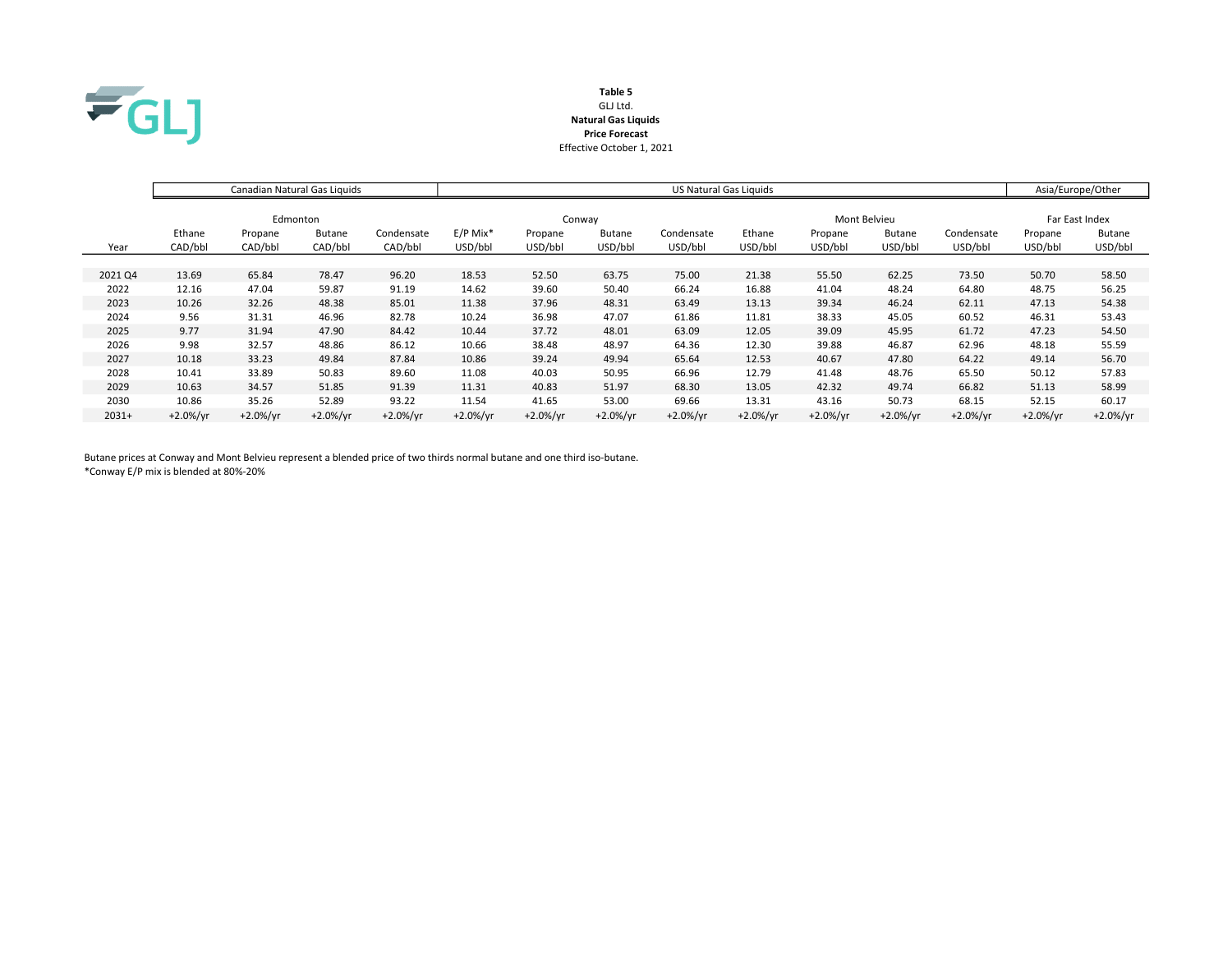

# Table 5 GLJ Ltd. Natural Gas Liquids Price Forecast Effective October 1, 2021

|         |             | Canadian Natural Gas Liquids |               |            | US Natural Gas Liquids |             |               |             |             |              |                |             | Asia/Europe/Other |               |
|---------|-------------|------------------------------|---------------|------------|------------------------|-------------|---------------|-------------|-------------|--------------|----------------|-------------|-------------------|---------------|
|         |             |                              |               |            |                        |             |               |             |             |              |                |             |                   |               |
|         |             | Edmonton                     |               |            | Conway                 |             |               |             |             | Mont Belvieu | Far East Index |             |                   |               |
|         | Ethane      | Propane                      | <b>Butane</b> | Condensate | $E/P$ Mix <sup>*</sup> | Propane     | <b>Butane</b> | Condensate  | Ethane      | Propane      | <b>Butane</b>  | Condensate  | Propane           | <b>Butane</b> |
| Year    | CAD/bbl     | CAD/bbl                      | CAD/bbl       | CAD/bbl    | USD/bbl                | USD/bbl     | USD/bbl       | USD/bbl     | USD/bbl     | USD/bbl      | USD/bbl        | USD/bbl     | USD/bbl           | USD/bbl       |
|         |             |                              |               |            |                        |             |               |             |             |              |                |             |                   |               |
| 2021 Q4 | 13.69       | 65.84                        | 78.47         | 96.20      | 18.53                  | 52.50       | 63.75         | 75.00       | 21.38       | 55.50        | 62.25          | 73.50       | 50.70             | 58.50         |
| 2022    | 12.16       | 47.04                        | 59.87         | 91.19      | 14.62                  | 39.60       | 50.40         | 66.24       | 16.88       | 41.04        | 48.24          | 64.80       | 48.75             | 56.25         |
| 2023    | 10.26       | 32.26                        | 48.38         | 85.01      | 11.38                  | 37.96       | 48.31         | 63.49       | 13.13       | 39.34        | 46.24          | 62.11       | 47.13             | 54.38         |
| 2024    | 9.56        | 31.31                        | 46.96         | 82.78      | 10.24                  | 36.98       | 47.07         | 61.86       | 11.81       | 38.33        | 45.05          | 60.52       | 46.31             | 53.43         |
| 2025    | 9.77        | 31.94                        | 47.90         | 84.42      | 10.44                  | 37.72       | 48.01         | 63.09       | 12.05       | 39.09        | 45.95          | 61.72       | 47.23             | 54.50         |
| 2026    | 9.98        | 32.57                        | 48.86         | 86.12      | 10.66                  | 38.48       | 48.97         | 64.36       | 12.30       | 39.88        | 46.87          | 62.96       | 48.18             | 55.59         |
| 2027    | 10.18       | 33.23                        | 49.84         | 87.84      | 10.86                  | 39.24       | 49.94         | 65.64       | 12.53       | 40.67        | 47.80          | 64.22       | 49.14             | 56.70         |
| 2028    | 10.41       | 33.89                        | 50.83         | 89.60      | 11.08                  | 40.03       | 50.95         | 66.96       | 12.79       | 41.48        | 48.76          | 65.50       | 50.12             | 57.83         |
| 2029    | 10.63       | 34.57                        | 51.85         | 91.39      | 11.31                  | 40.83       | 51.97         | 68.30       | 13.05       | 42.32        | 49.74          | 66.82       | 51.13             | 58.99         |
| 2030    | 10.86       | 35.26                        | 52.89         | 93.22      | 11.54                  | 41.65       | 53.00         | 69.66       | 13.31       | 43.16        | 50.73          | 68.15       | 52.15             | 60.17         |
| $2031+$ | $+2.0\%/yr$ | $+2.0%/yr$                   | $+2.0%/yr$    | $+2.0%/yr$ | $+2.0%/yr$             | $+2.0\%/yr$ | $+2.0\%/yr$   | $+2.0\%/yr$ | $+2.0\%/yr$ | $+2.0\%/yr$  | $+2.0%/yr$     | $+2.0\%/yr$ | $+2.0%/yr$        | $+2.0\%/yr$   |

Butane prices at Conway and Mont Belvieu represent a blended price of two thirds normal butane and one third iso-butane. \*Conway E/P mix is blended at 80%-20%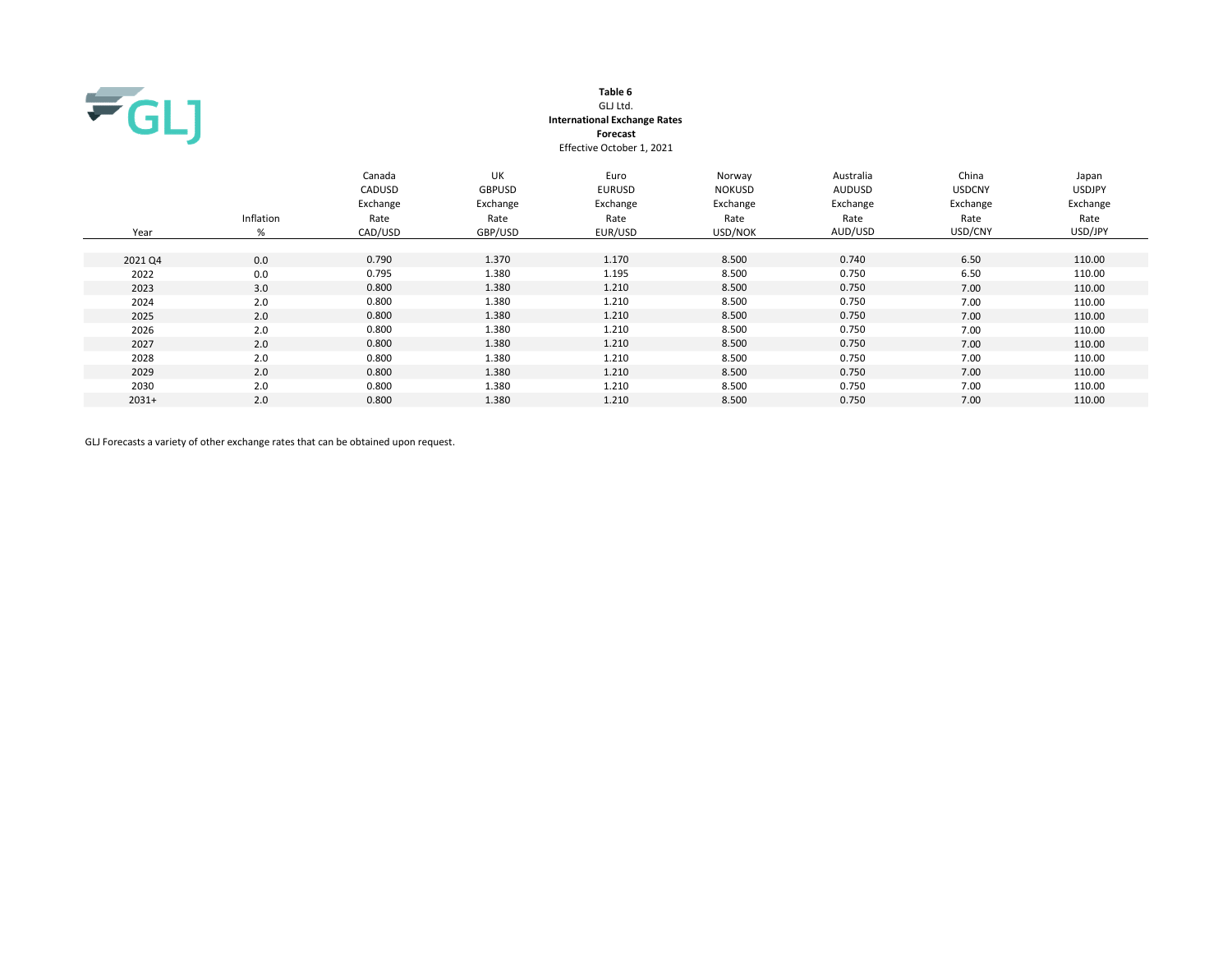

# Table 6 GLJ Ltd. International Exchange Rates Forecast Effective October 1, 2021

| Year    | Inflation<br>% | Canada<br>CADUSD<br>Exchange<br>Rate<br>CAD/USD | <b>UK</b><br><b>GBPUSD</b><br>Exchange<br>Rate<br>GBP/USD | Euro<br><b>EURUSD</b><br>Exchange<br>Rate<br>EUR/USD | Norway<br><b>NOKUSD</b><br>Exchange<br>Rate<br>USD/NOK | Australia<br><b>AUDUSD</b><br>Exchange<br>Rate<br>AUD/USD | China<br><b>USDCNY</b><br>Exchange<br>Rate<br>USD/CNY | Japan<br><b>USDJPY</b><br>Exchange<br>Rate<br>USD/JPY |
|---------|----------------|-------------------------------------------------|-----------------------------------------------------------|------------------------------------------------------|--------------------------------------------------------|-----------------------------------------------------------|-------------------------------------------------------|-------------------------------------------------------|
| 2021 Q4 | 0.0            | 0.790                                           | 1.370                                                     | 1.170                                                | 8.500                                                  | 0.740                                                     | 6.50                                                  | 110.00                                                |
| 2022    | 0.0            | 0.795                                           | 1.380                                                     | 1.195                                                | 8.500                                                  | 0.750                                                     | 6.50                                                  | 110.00                                                |
| 2023    | 3.0            | 0.800                                           | 1.380                                                     | 1.210                                                | 8.500                                                  | 0.750                                                     | 7.00                                                  | 110.00                                                |
| 2024    | 2.0            | 0.800                                           | 1.380                                                     | 1.210                                                | 8.500                                                  | 0.750                                                     | 7.00                                                  | 110.00                                                |
| 2025    | 2.0            | 0.800                                           | 1.380                                                     | 1.210                                                | 8.500                                                  | 0.750                                                     | 7.00                                                  | 110.00                                                |
| 2026    | 2.0            | 0.800                                           | 1.380                                                     | 1.210                                                | 8.500                                                  | 0.750                                                     | 7.00                                                  | 110.00                                                |
| 2027    | 2.0            | 0.800                                           | 1.380                                                     | 1.210                                                | 8.500                                                  | 0.750                                                     | 7.00                                                  | 110.00                                                |
| 2028    | 2.0            | 0.800                                           | 1.380                                                     | 1.210                                                | 8.500                                                  | 0.750                                                     | 7.00                                                  | 110.00                                                |
| 2029    | 2.0            | 0.800                                           | 1.380                                                     | 1.210                                                | 8.500                                                  | 0.750                                                     | 7.00                                                  | 110.00                                                |
| 2030    | 2.0            | 0.800                                           | 1.380                                                     | 1.210                                                | 8.500                                                  | 0.750                                                     | 7.00                                                  | 110.00                                                |
| $2031+$ | 2.0            | 0.800                                           | 1.380                                                     | 1.210                                                | 8.500                                                  | 0.750                                                     | 7.00                                                  | 110.00                                                |

GLJ Forecasts a variety of other exchange rates that can be obtained upon request.